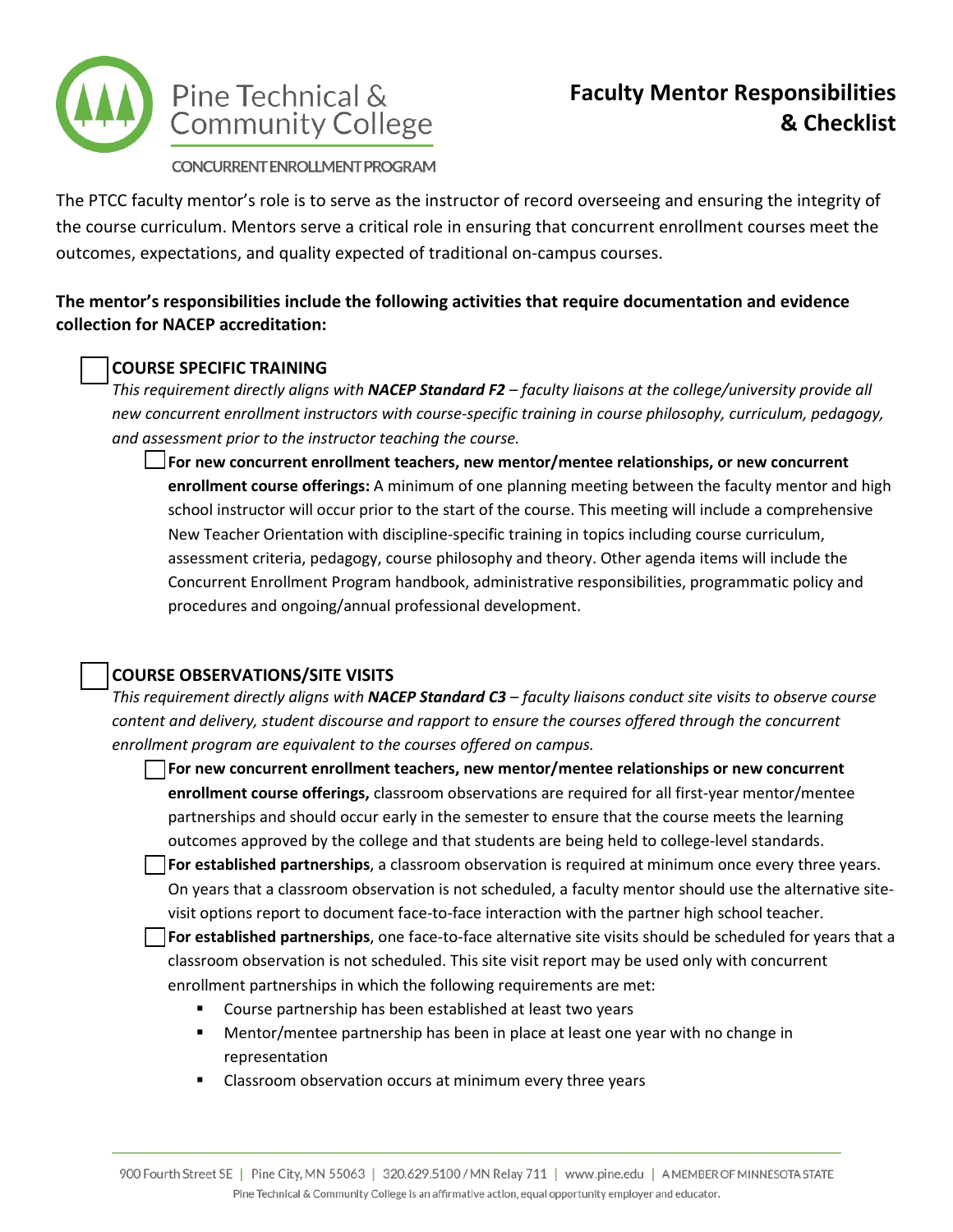

CONCURRENT ENROLLMENT PROGRAM

The PTCC faculty mentor's role is to serve as the instructor of record overseeing and ensuring the integrity of the course curriculum. Mentors serve a critical role in ensuring that concurrent enrollment courses meet the outcomes, expectations, and quality expected of traditional on-campus courses.

## **The mentor's responsibilities include the following activities that require documentation and evidence collection for NACEP accreditation:**

## **COURSE SPECIFIC TRAINING**

*This requirement directly aligns with NACEP Standard F2 – faculty liaisons at the college/university provide all new concurrent enrollment instructors with course-specific training in course philosophy, curriculum, pedagogy, and assessment prior to the instructor teaching the course.*

**For new concurrent enrollment teachers, new mentor/mentee relationships, or new concurrent enrollment course offerings:** A minimum of one planning meeting between the faculty mentor and high school instructor will occur prior to the start of the course. This meeting will include a comprehensive New Teacher Orientation with discipline-specific training in topics including course curriculum, assessment criteria, pedagogy, course philosophy and theory. Other agenda items will include the Concurrent Enrollment Program handbook, administrative responsibilities, programmatic policy and procedures and ongoing/annual professional development.

# **COURSE OBSERVATIONS/SITE VISITS**

*This requirement directly aligns with NACEP Standard C3 – faculty liaisons conduct site visits to observe course content and delivery, student discourse and rapport to ensure the courses offered through the concurrent enrollment program are equivalent to the courses offered on campus.*

**For new concurrent enrollment teachers, new mentor/mentee relationships or new concurrent enrollment course offerings,** classroom observations are required for all first-year mentor/mentee partnerships and should occur early in the semester to ensure that the course meets the learning outcomes approved by the college and that students are being held to college-level standards.

**For established partnerships**, a classroom observation is required at minimum once every three years. On years that a classroom observation is not scheduled, a faculty mentor should use the alternative sitevisit options report to document face-to-face interaction with the partner high school teacher.

**For established partnerships**, one face-to-face alternative site visits should be scheduled for years that a classroom observation is not scheduled. This site visit report may be used only with concurrent enrollment partnerships in which the following requirements are met:

- Course partnership has been established at least two years
- Mentor/mentee partnership has been in place at least one year with no change in representation
- Classroom observation occurs at minimum every three years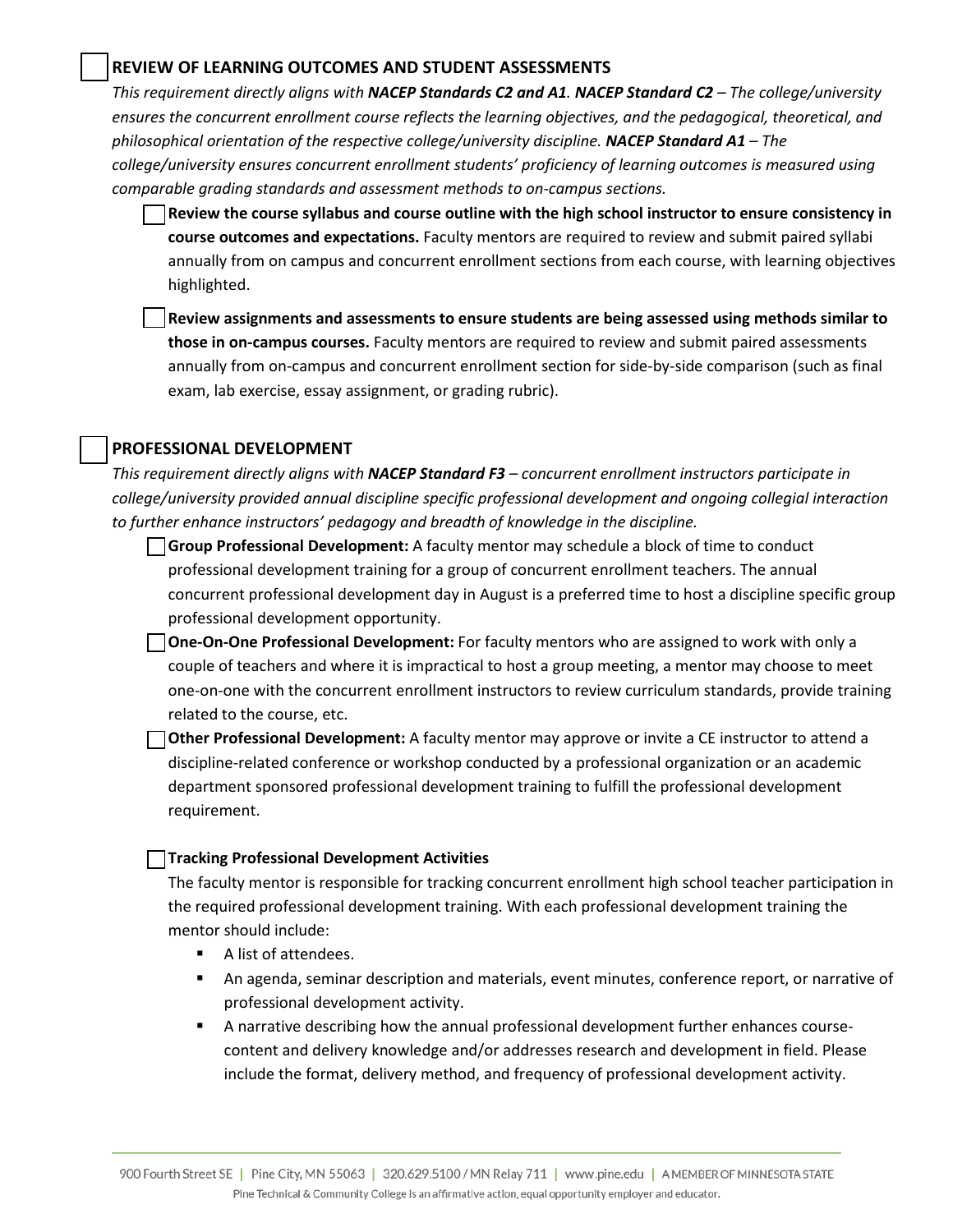### **REVIEW OF LEARNING OUTCOMES AND STUDENT ASSESSMENTS**

*This requirement directly aligns with NACEP Standards C2 and A1. NACEP Standard C2 – The college/university ensures the concurrent enrollment course reflects the learning objectives, and the pedagogical, theoretical, and philosophical orientation of the respective college/university discipline. NACEP Standard A1 – The college/university ensures concurrent enrollment students' proficiency of learning outcomes is measured using comparable grading standards and assessment methods to on-campus sections.* 

**Review the course syllabus and course outline with the high school instructor to ensure consistency in course outcomes and expectations.** Faculty mentors are required to review and submit paired syllabi annually from on campus and concurrent enrollment sections from each course, with learning objectives highlighted.

**Review assignments and assessments to ensure students are being assessed using methods similar to those in on-campus courses.** Faculty mentors are required to review and submit paired assessments annually from on-campus and concurrent enrollment section for side-by-side comparison (such as final exam, lab exercise, essay assignment, or grading rubric).

### **PROFESSIONAL DEVELOPMENT**

*This requirement directly aligns with NACEP Standard F3 – concurrent enrollment instructors participate in college/university provided annual discipline specific professional development and ongoing collegial interaction to further enhance instructors' pedagogy and breadth of knowledge in the discipline.* 

**Group Professional Development:** A faculty mentor may schedule a block of time to conduct professional development training for a group of concurrent enrollment teachers. The annual concurrent professional development day in August is a preferred time to host a discipline specific group professional development opportunity.

**One-On-One Professional Development:** For faculty mentors who are assigned to work with only a couple of teachers and where it is impractical to host a group meeting, a mentor may choose to meet one-on-one with the concurrent enrollment instructors to review curriculum standards, provide training related to the course, etc.

**Other Professional Development:** A faculty mentor may approve or invite a CE instructor to attend a discipline-related conference or workshop conducted by a professional organization or an academic department sponsored professional development training to fulfill the professional development requirement.

#### **Tracking Professional Development Activities**

The faculty mentor is responsible for tracking concurrent enrollment high school teacher participation in the required professional development training. With each professional development training the mentor should include:

- A list of attendees.
- An agenda, seminar description and materials, event minutes, conference report, or narrative of professional development activity.
- A narrative describing how the annual professional development further enhances coursecontent and delivery knowledge and/or addresses research and development in field. Please include the format, delivery method, and frequency of professional development activity.